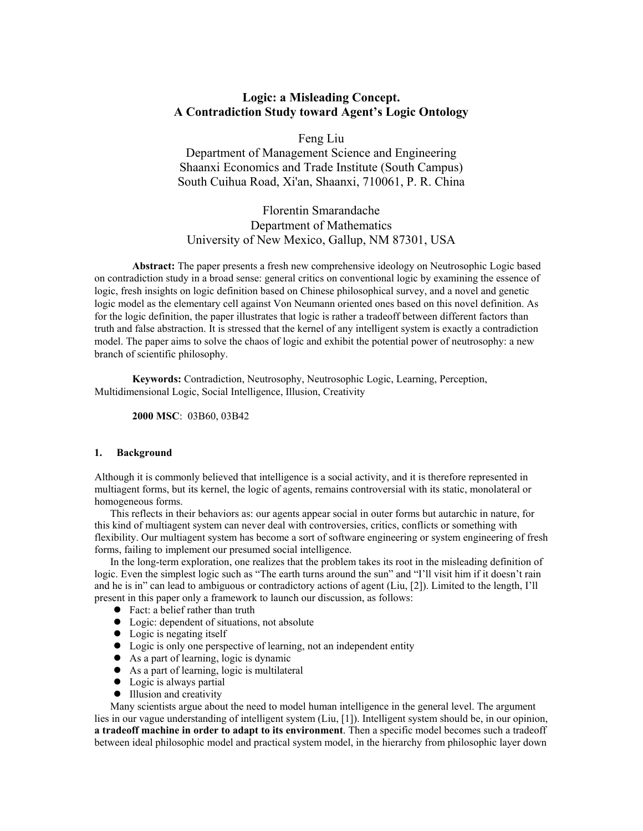# **Logic: a Misleading Concept. A Contradiction Study toward Agent's Logic Ontology**

Feng Liu

Department of Management Science and Engineering Shaanxi Economics and Trade Institute (South Campus) South Cuihua Road, Xi'an, Shaanxi, 710061, P. R. China

# Florentin Smarandache Department of Mathematics University of New Mexico, Gallup, NM 87301, USA

**Abstract:** The paper presents a fresh new comprehensive ideology on Neutrosophic Logic based on contradiction study in a broad sense: general critics on conventional logic by examining the essence of logic, fresh insights on logic definition based on Chinese philosophical survey, and a novel and genetic logic model as the elementary cell against Von Neumann oriented ones based on this novel definition. As for the logic definition, the paper illustrates that logic is rather a tradeoff between different factors than truth and false abstraction. It is stressed that the kernel of any intelligent system is exactly a contradiction model. The paper aims to solve the chaos of logic and exhibit the potential power of neutrosophy: a new branch of scientific philosophy.

**Keywords:** Contradiction, Neutrosophy, Neutrosophic Logic, Learning, Perception, Multidimensional Logic, Social Intelligence, Illusion, Creativity

**2000 MSC**: 03B60, 03B42

### **1. Background**

Although it is commonly believed that intelligence is a social activity, and it is therefore represented in multiagent forms, but its kernel, the logic of agents, remains controversial with its static, monolateral or homogeneous forms.

This reflects in their behaviors as: our agents appear social in outer forms but autarchic in nature, for this kind of multiagent system can never deal with controversies, critics, conflicts or something with flexibility. Our multiagent system has become a sort of software engineering or system engineering of fresh forms, failing to implement our presumed social intelligence.

In the long-term exploration, one realizes that the problem takes its root in the misleading definition of logic. Even the simplest logic such as "The earth turns around the sun" and "I'll visit him if it doesn't rain and he is in" can lead to ambiguous or contradictory actions of agent (Liu, [2]). Limited to the length, I'll present in this paper only a framework to launch our discussion, as follows:

- Fact: a belief rather than truth
- Logic: dependent of situations, not absolute
- $\bullet$  Logic is negating itself
- Logic is only one perspective of learning, not an independent entity
- $\bullet$  As a part of learning, logic is dynamic
- As a part of learning, logic is multilateral
- $\bullet$  Logic is always partial
- $\bullet$  Illusion and creativity

Many scientists argue about the need to model human intelligence in the general level. The argument lies in our vague understanding of intelligent system (Liu, [1]). Intelligent system should be, in our opinion, **a tradeoff machine in order to adapt to its environment**. Then a specific model becomes such a tradeoff between ideal philosophic model and practical system model, in the hierarchy from philosophic layer down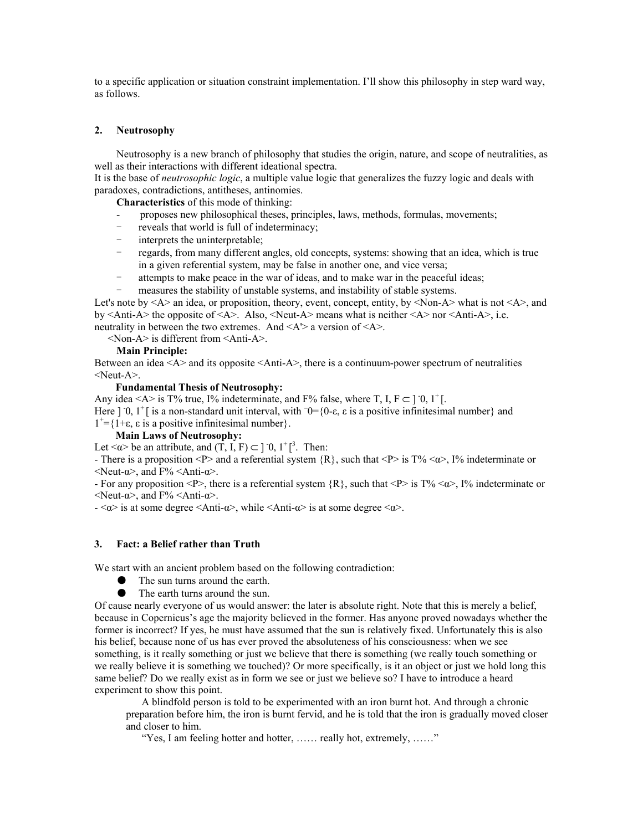to a specific application or situation constraint implementation. I'll show this philosophy in step ward way, as follows.

### **2. Neutrosophy**

Neutrosophy is a new branch of philosophy that studies the origin, nature, and scope of neutralities, as well as their interactions with different ideational spectra.

It is the base of *neutrosophic logic*, a multiple value logic that generalizes the fuzzy logic and deals with paradoxes, contradictions, antitheses, antinomies.

**Characteristics** of this mode of thinking:

- proposes new philosophical theses, principles, laws, methods, formulas, movements;
- reveals that world is full of indeterminacy;
- interprets the uninterpretable;
- regards, from many different angles, old concepts, systems: showing that an idea, which is true in a given referential system, may be false in another one, and vice versa;
- attempts to make peace in the war of ideas, and to make war in the peaceful ideas;
- measures the stability of unstable systems, and instability of stable systems.

Let's note by  $\langle A \rangle$  an idea, or proposition, theory, event, concept, entity, by  $\langle Non-A \rangle$  what is not  $\langle A \rangle$ , and by  $\leq$ Anti-A $\geq$  the opposite of  $\leq$ A $\geq$ . Also,  $\leq$ Neut-A $\geq$  means what is neither  $\leq$ A $\geq$  nor  $\leq$ Anti-A $\geq$ , i.e. neutrality in between the two extremes. And  $\langle A \rangle$  a version of  $\langle A \rangle$ .

<Non-A> is different from <Anti-A>.

### **Main Principle:**

Between an idea <A> and its opposite <Anti-A>, there is a continuum-power spectrum of neutralities <Neut-A>.

### **Fundamental Thesis of Neutrosophy:**

Any idea <A> is T% true, I% indeterminate, and F% false, where T, I,  $F \subset ]0, 1^+]$ . Here ] 0, 1<sup>+</sup> [ is a non-standard unit interval, with  $\overline{0}$  = {0- $\varepsilon$ ,  $\varepsilon$  is a positive infinitesimal number} and  $1^+=$ {1+ε, ε is a positive infinitesimal number}.

### **Main Laws of Neutrosophy:**

Let  $\langle \alpha \rangle$  be an attribute, and  $(T, I, F) \subset ]0, 1^+]^3$ . Then:

- There is a proposition <P> and a referential system  $\{R\}$ , such that <P> is T% < $\alpha$ >  $\alpha$ , I% indeterminate or  $\le$ Neut-α>, and F%  $\le$ Anti-α>.

- For any proposition <P>, there is a referential system  $\{R\}$ , such that <P> is T% < $\alpha$ >, I% indeterminate or  $\le$ Neut-α>, and F%  $\le$ Anti-α>.

 $-\langle \alpha \rangle$  is at some degree  $\langle$ Anti-α $\rangle$ , while  $\langle$ Anti-α $\rangle$  is at some degree  $\langle \alpha \rangle$ .

### **3. Fact: a Belief rather than Truth**

We start with an ancient problem based on the following contradiction:

- The sun turns around the earth.
- The earth turns around the sun.

Of cause nearly everyone of us would answer: the later is absolute right. Note that this is merely a belief, because in Copernicus's age the majority believed in the former. Has anyone proved nowadays whether the former is incorrect? If yes, he must have assumed that the sun is relatively fixed. Unfortunately this is also his belief, because none of us has ever proved the absoluteness of his consciousness: when we see something, is it really something or just we believe that there is something (we really touch something or we really believe it is something we touched)? Or more specifically, is it an object or just we hold long this same belief? Do we really exist as in form we see or just we believe so? I have to introduce a heard experiment to show this point.

A blindfold person is told to be experimented with an iron burnt hot. And through a chronic preparation before him, the iron is burnt fervid, and he is told that the iron is gradually moved closer and closer to him.

"Yes, I am feeling hotter and hotter, ...... really hot, extremely, ......"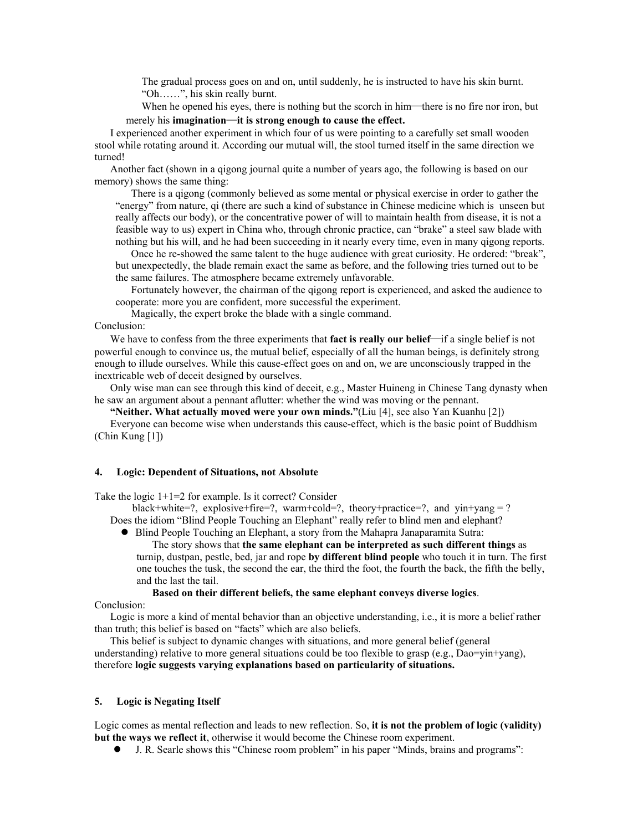The gradual process goes on and on, until suddenly, he is instructed to have his skin burnt. "Oh……", his skin really burnt.

When he opened his eyes, there is nothing but the scorch in him—there is no fire nor iron, but merely his **imagination**—**it is strong enough to cause the effect.**

I experienced another experiment in which four of us were pointing to a carefully set small wooden stool while rotating around it. According our mutual will, the stool turned itself in the same direction we turned!

Another fact (shown in a qigong journal quite a number of years ago, the following is based on our memory) shows the same thing:

There is a qigong (commonly believed as some mental or physical exercise in order to gather the "energy" from nature, qi (there are such a kind of substance in Chinese medicine which is unseen but really affects our body), or the concentrative power of will to maintain health from disease, it is not a feasible way to us) expert in China who, through chronic practice, can "brake" a steel saw blade with nothing but his will, and he had been succeeding in it nearly every time, even in many qigong reports.

Once he re-showed the same talent to the huge audience with great curiosity. He ordered: "break", but unexpectedly, the blade remain exact the same as before, and the following tries turned out to be the same failures. The atmosphere became extremely unfavorable.

Fortunately however, the chairman of the qigong report is experienced, and asked the audience to cooperate: more you are confident, more successful the experiment.

Magically, the expert broke the blade with a single command.

Conclusion:

We have to confess from the three experiments that **fact is really our belief**—if a single belief is not powerful enough to convince us, the mutual belief, especially of all the human beings, is definitely strong enough to illude ourselves. While this cause-effect goes on and on, we are unconsciously trapped in the inextricable web of deceit designed by ourselves.

Only wise man can see through this kind of deceit, e.g., Master Huineng in Chinese Tang dynasty when he saw an argument about a pennant aflutter: whether the wind was moving or the pennant.

**"Neither. What actually moved were your own minds."**(Liu [4], see also Yan Kuanhu [2])

Everyone can become wise when understands this cause-effect, which is the basic point of Buddhism (Chin Kung [1])

#### **4. Logic: Dependent of Situations, not Absolute**

Take the logic  $1+1=2$  for example. Is it correct? Consider

black+white=?, explosive+fire=?, warm+cold=?, theory+practice=?, and yin+yang = ? Does the idiom "Blind People Touching an Elephant" really refer to blind men and elephant?

• Blind People Touching an Elephant, a story from the Mahapra Janaparamita Sutra:

The story shows that **the same elephant can be interpreted as such different things** as turnip, dustpan, pestle, bed, jar and rope **by different blind people** who touch it in turn. The first one touches the tusk, the second the ear, the third the foot, the fourth the back, the fifth the belly, and the last the tail.

### **Based on their different beliefs, the same elephant conveys diverse logics**.

Conclusion:

Logic is more a kind of mental behavior than an objective understanding, i.e., it is more a belief rather than truth; this belief is based on "facts" which are also beliefs.

This belief is subject to dynamic changes with situations, and more general belief (general understanding) relative to more general situations could be too flexible to grasp (e.g., Dao=yin+yang), therefore **logic suggests varying explanations based on particularity of situations.** 

#### **5. Logic is Negating Itself**

Logic comes as mental reflection and leads to new reflection. So, **it is not the problem of logic (validity) but the ways we reflect it**, otherwise it would become the Chinese room experiment.

z J. R. Searle shows this "Chinese room problem" in his paper "Minds, brains and programs":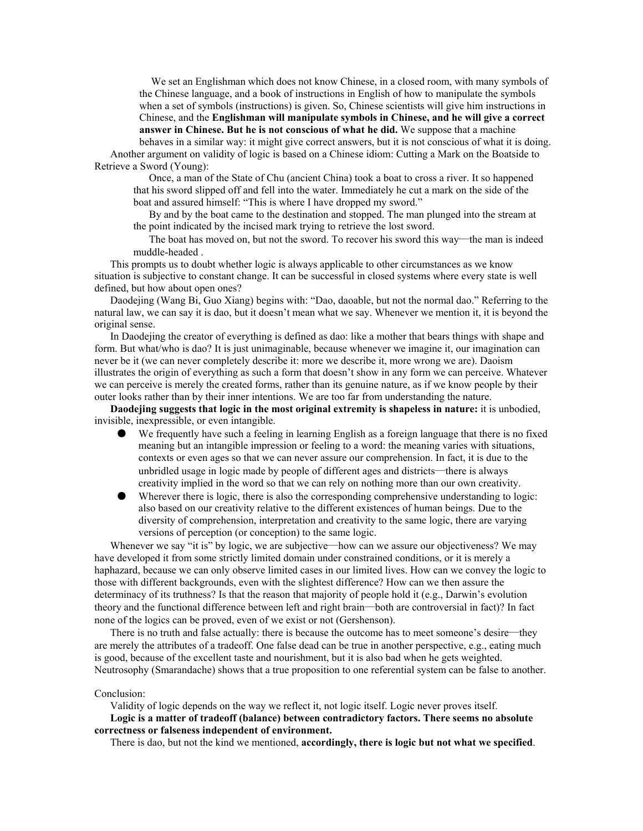We set an Englishman which does not know Chinese, in a closed room, with many symbols of the Chinese language, and a book of instructions in English of how to manipulate the symbols when a set of symbols (instructions) is given. So, Chinese scientists will give him instructions in Chinese, and the **Englishman will manipulate symbols in Chinese, and he will give a correct answer in Chinese. But he is not conscious of what he did.** We suppose that a machine

behaves in a similar way: it might give correct answers, but it is not conscious of what it is doing. Another argument on validity of logic is based on a Chinese idiom: Cutting a Mark on the Boatside to Retrieve a Sword (Young):

Once, a man of the State of Chu (ancient China) took a boat to cross a river. It so happened that his sword slipped off and fell into the water. Immediately he cut a mark on the side of the boat and assured himself: "This is where I have dropped my sword."

By and by the boat came to the destination and stopped. The man plunged into the stream at the point indicated by the incised mark trying to retrieve the lost sword.

The boat has moved on, but not the sword. To recover his sword this way—the man is indeed muddle-headed .

This prompts us to doubt whether logic is always applicable to other circumstances as we know situation is subjective to constant change. It can be successful in closed systems where every state is well defined, but how about open ones?

Daodejing (Wang Bi, Guo Xiang) begins with: "Dao, daoable, but not the normal dao." Referring to the natural law, we can say it is dao, but it doesn't mean what we say. Whenever we mention it, it is beyond the original sense.

In Daodejing the creator of everything is defined as dao: like a mother that bears things with shape and form. But what/who is dao? It is just unimaginable, because whenever we imagine it, our imagination can never be it (we can never completely describe it: more we describe it, more wrong we are). Daoism illustrates the origin of everything as such a form that doesn't show in any form we can perceive. Whatever we can perceive is merely the created forms, rather than its genuine nature, as if we know people by their outer looks rather than by their inner intentions. We are too far from understanding the nature.

**Daodejing suggests that logic in the most original extremity is shapeless in nature:** it is unbodied, invisible, inexpressible, or even intangible.

- We frequently have such a feeling in learning English as a foreign language that there is no fixed meaning but an intangible impression or feeling to a word: the meaning varies with situations, contexts or even ages so that we can never assure our comprehension. In fact, it is due to the unbridled usage in logic made by people of different ages and districts—there is always creativity implied in the word so that we can rely on nothing more than our own creativity.
- Wherever there is logic, there is also the corresponding comprehensive understanding to logic: also based on our creativity relative to the different existences of human beings. Due to the diversity of comprehension, interpretation and creativity to the same logic, there are varying versions of perception (or conception) to the same logic.

Whenever we say "it is" by logic, we are subjective—how can we assure our objectiveness? We may have developed it from some strictly limited domain under constrained conditions, or it is merely a haphazard, because we can only observe limited cases in our limited lives. How can we convey the logic to those with different backgrounds, even with the slightest difference? How can we then assure the determinacy of its truthness? Is that the reason that majority of people hold it (e.g., Darwin's evolution theory and the functional difference between left and right brain—both are controversial in fact)? In fact none of the logics can be proved, even of we exist or not (Gershenson).

There is no truth and false actually: there is because the outcome has to meet someone's desire—they are merely the attributes of a tradeoff. One false dead can be true in another perspective, e.g., eating much is good, because of the excellent taste and nourishment, but it is also bad when he gets weighted. Neutrosophy (Smarandache) shows that a true proposition to one referential system can be false to another.

### Conclusion:

Validity of logic depends on the way we reflect it, not logic itself. Logic never proves itself. **Logic is a matter of tradeoff (balance) between contradictory factors. There seems no absolute correctness or falseness independent of environment.** 

There is dao, but not the kind we mentioned, **accordingly, there is logic but not what we specified**.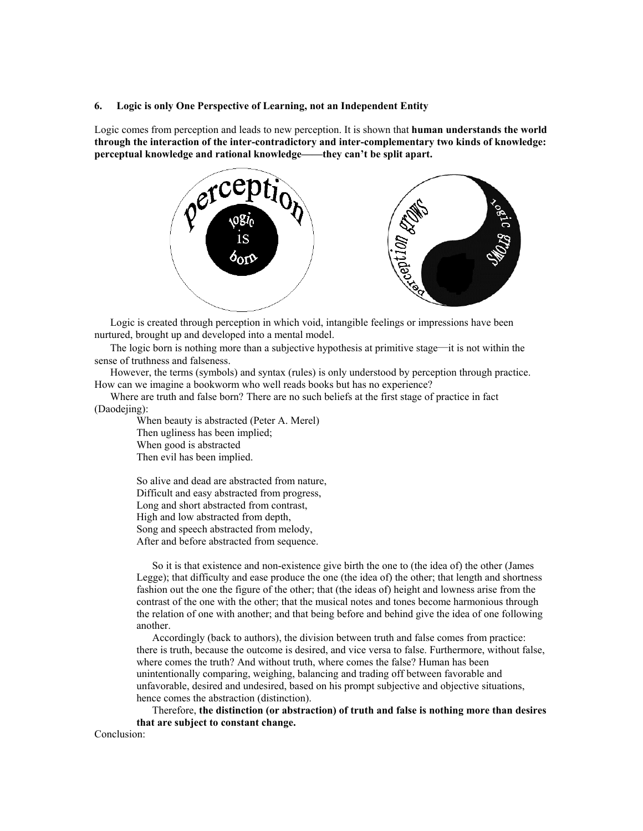#### **6. Logic is only One Perspective of Learning, not an Independent Entity**

Logic comes from perception and leads to new perception. It is shown that **human understands the world through the interaction of the inter-contradictory and inter-complementary two kinds of knowledge: perceptual knowledge and rational knowledge——they can't be split apart.**



Logic is created through perception in which void, intangible feelings or impressions have been nurtured, brought up and developed into a mental model.

The logic born is nothing more than a subjective hypothesis at primitive stage—it is not within the sense of truthness and falseness.

However, the terms (symbols) and syntax (rules) is only understood by perception through practice. How can we imagine a bookworm who well reads books but has no experience?

Where are truth and false born? There are no such beliefs at the first stage of practice in fact (Daodejing):

> When beauty is abstracted (Peter A. Merel) Then ugliness has been implied; When good is abstracted Then evil has been implied.

So alive and dead are abstracted from nature, Difficult and easy abstracted from progress, Long and short abstracted from contrast, High and low abstracted from depth, Song and speech abstracted from melody, After and before abstracted from sequence.

So it is that existence and non-existence give birth the one to (the idea of) the other (James Legge); that difficulty and ease produce the one (the idea of) the other; that length and shortness fashion out the one the figure of the other; that (the ideas of) height and lowness arise from the contrast of the one with the other; that the musical notes and tones become harmonious through the relation of one with another; and that being before and behind give the idea of one following another.

Accordingly (back to authors), the division between truth and false comes from practice: there is truth, because the outcome is desired, and vice versa to false. Furthermore, without false, where comes the truth? And without truth, where comes the false? Human has been unintentionally comparing, weighing, balancing and trading off between favorable and unfavorable, desired and undesired, based on his prompt subjective and objective situations, hence comes the abstraction (distinction).

Therefore, **the distinction (or abstraction) of truth and false is nothing more than desires that are subject to constant change.** 

Conclusion: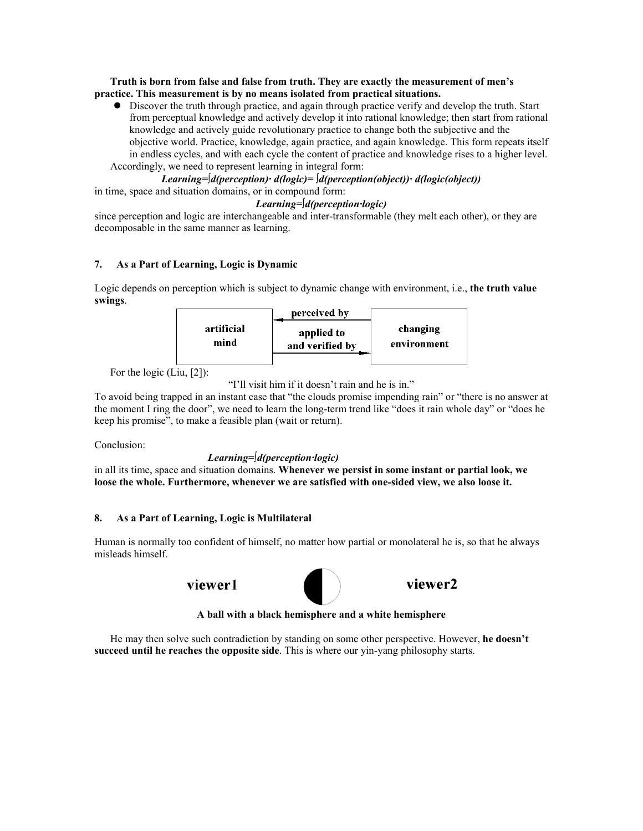**Truth is born from false and false from truth. They are exactly the measurement of men's practice. This measurement is by no means isolated from practical situations.**

• Discover the truth through practice, and again through practice verify and develop the truth. Start from perceptual knowledge and actively develop it into rational knowledge; then start from rational knowledge and actively guide revolutionary practice to change both the subjective and the objective world. Practice, knowledge, again practice, and again knowledge. This form repeats itself in endless cycles, and with each cycle the content of practice and knowledge rises to a higher level. Accordingly, we need to represent learning in integral form:

*Learning=*∫*d(perception)· d(logic)=* ∫*d(perception(object))· d(logic(object))*  in time, space and situation domains, or in compound form:

# *Learning=*∫*d(perception·logic)*

since perception and logic are interchangeable and inter-transformable (they melt each other), or they are decomposable in the same manner as learning.

# **7. As a Part of Learning, Logic is Dynamic**

Logic depends on perception which is subject to dynamic change with environment, i.e., **the truth value swings**.



For the logic (Liu, [2]):

```
"I'll visit him if it doesn't rain and he is in."
```
To avoid being trapped in an instant case that "the clouds promise impending rain" or "there is no answer at the moment I ring the door", we need to learn the long-term trend like "does it rain whole day" or "does he keep his promise", to make a feasible plan (wait or return).

Conclusion:

# *Learning=*∫*d(perception·logic)*

in all its time, space and situation domains. **Whenever we persist in some instant or partial look, we loose the whole. Furthermore, whenever we are satisfied with one-sided view, we also loose it.** 

# **8. As a Part of Learning, Logic is Multilateral**

Human is normally too confident of himself, no matter how partial or monolateral he is, so that he always misleads himself.

viewer1



viewer2

**A ball with a black hemisphere and a white hemisphere** 

He may then solve such contradiction by standing on some other perspective. However, **he doesn't succeed until he reaches the opposite side**. This is where our yin-yang philosophy starts.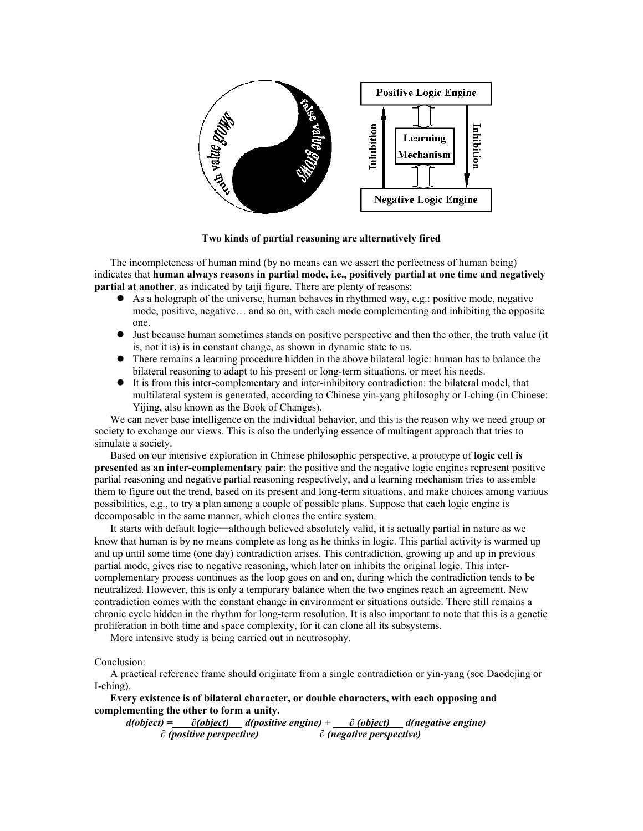

**Two kinds of partial reasoning are alternatively fired** 

The incompleteness of human mind (by no means can we assert the perfectness of human being) indicates that **human always reasons in partial mode, i.e., positively partial at one time and negatively partial at another**, as indicated by taiji figure. There are plenty of reasons:

- $\bullet$  As a holograph of the universe, human behaves in rhythmed way, e.g.: positive mode, negative mode, positive, negative… and so on, with each mode complementing and inhibiting the opposite one.
- Just because human sometimes stands on positive perspective and then the other, the truth value (it is, not it is) is in constant change, as shown in dynamic state to us.
- There remains a learning procedure hidden in the above bilateral logic: human has to balance the bilateral reasoning to adapt to his present or long-term situations, or meet his needs.
- $\bullet$  It is from this inter-complementary and inter-inhibitory contradiction: the bilateral model, that multilateral system is generated, according to Chinese yin-yang philosophy or I-ching (in Chinese: Yijing, also known as the Book of Changes).

We can never base intelligence on the individual behavior, and this is the reason why we need group or society to exchange our views. This is also the underlying essence of multiagent approach that tries to simulate a society.

Based on our intensive exploration in Chinese philosophic perspective, a prototype of **logic cell is presented as an inter-complementary pair**: the positive and the negative logic engines represent positive partial reasoning and negative partial reasoning respectively, and a learning mechanism tries to assemble them to figure out the trend, based on its present and long-term situations, and make choices among various possibilities, e.g., to try a plan among a couple of possible plans. Suppose that each logic engine is decomposable in the same manner, which clones the entire system.

It starts with default logic—although believed absolutely valid, it is actually partial in nature as we know that human is by no means complete as long as he thinks in logic. This partial activity is warmed up and up until some time (one day) contradiction arises. This contradiction, growing up and up in previous partial mode, gives rise to negative reasoning, which later on inhibits the original logic. This intercomplementary process continues as the loop goes on and on, during which the contradiction tends to be neutralized. However, this is only a temporary balance when the two engines reach an agreement. New contradiction comes with the constant change in environment or situations outside. There still remains a chronic cycle hidden in the rhythm for long-term resolution. It is also important to note that this is a genetic proliferation in both time and space complexity, for it can clone all its subsystems.

More intensive study is being carried out in neutrosophy.

Conclusion:

A practical reference frame should originate from a single contradiction or yin-yang (see Daodejing or I-ching).

### **Every existence is of bilateral character, or double characters, with each opposing and complementing the other to form a unity.**

*d(object) = ∂(object) d(positive engine) + ∂ (object) d(negative engine) ∂ (positive perspective) ∂ (negative perspective)*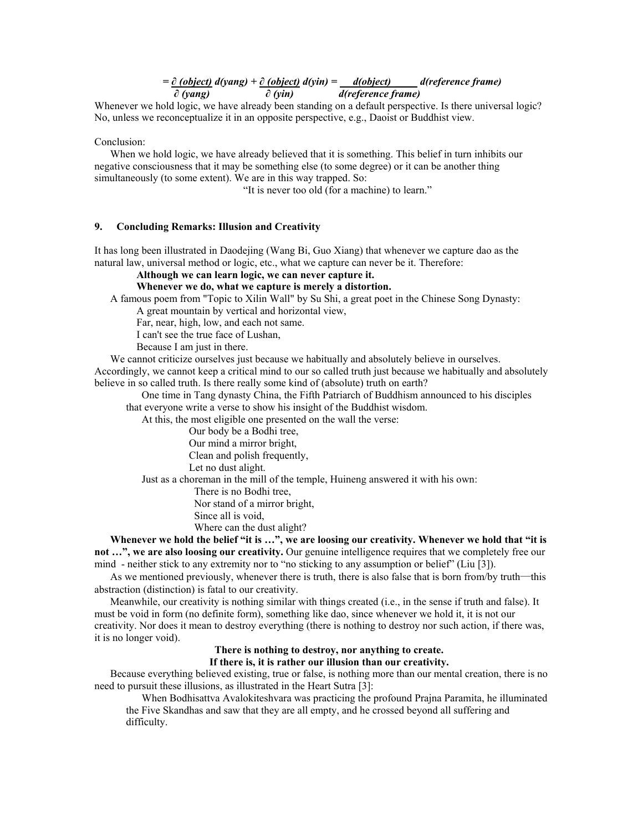# *= ∂ (object) d(yang) + ∂ (object) d(yin) = d(object) \_\_\_\_ d(reference frame) ∂ (yang) ∂ (yin) d(reference frame)*

Whenever we hold logic, we have already been standing on a default perspective. Is there universal logic? No, unless we reconceptualize it in an opposite perspective, e.g., Daoist or Buddhist view.

Conclusion:

When we hold logic, we have already believed that it is something. This belief in turn inhibits our negative consciousness that it may be something else (to some degree) or it can be another thing simultaneously (to some extent). We are in this way trapped. So:

"It is never too old (for a machine) to learn."

### **9. Concluding Remarks: Illusion and Creativity**

It has long been illustrated in Daodejing (Wang Bi, Guo Xiang) that whenever we capture dao as the natural law, universal method or logic, etc., what we capture can never be it. Therefore:

**Although we can learn logic, we can never capture it. Whenever we do, what we capture is merely a distortion.** 

A famous poem from "Topic to Xilin Wall" by Su Shi, a great poet in the Chinese Song Dynasty:

A great mountain by vertical and horizontal view,

Far, near, high, low, and each not same.

I can't see the true face of Lushan,

Because I am just in there.

We cannot criticize ourselves just because we habitually and absolutely believe in ourselves.

Accordingly, we cannot keep a critical mind to our so called truth just because we habitually and absolutely believe in so called truth. Is there really some kind of (absolute) truth on earth?

One time in Tang dynasty China, the Fifth Patriarch of Buddhism announced to his disciples that everyone write a verse to show his insight of the Buddhist wisdom.

At this, the most eligible one presented on the wall the verse:

Our body be a Bodhi tree, Our mind a mirror bright,

Clean and polish frequently,

Let no dust alight.

Just as a choreman in the mill of the temple, Huineng answered it with his own:

There is no Bodhi tree,

Nor stand of a mirror bright,

Since all is void,

Where can the dust alight?

**Whenever we hold the belief "it is …", we are loosing our creativity. Whenever we hold that "it is not …", we are also loosing our creativity.** Our genuine intelligence requires that we completely free our mind - neither stick to any extremity nor to "no sticking to any assumption or belief" (Liu [3]).

As we mentioned previously, whenever there is truth, there is also false that is born from/by truth—this abstraction (distinction) is fatal to our creativity.

Meanwhile, our creativity is nothing similar with things created (i.e., in the sense if truth and false). It must be void in form (no definite form), something like dao, since whenever we hold it, it is not our creativity. Nor does it mean to destroy everything (there is nothing to destroy nor such action, if there was, it is no longer void).

# **There is nothing to destroy, nor anything to create.**

### **If there is, it is rather our illusion than our creativity.**

Because everything believed existing, true or false, is nothing more than our mental creation, there is no need to pursuit these illusions, as illustrated in the Heart Sutra [3]:

When Bodhisattva Avalokiteshvara was practicing the profound Prajna Paramita, he illuminated the Five Skandhas and saw that they are all empty, and he crossed beyond all suffering and difficulty.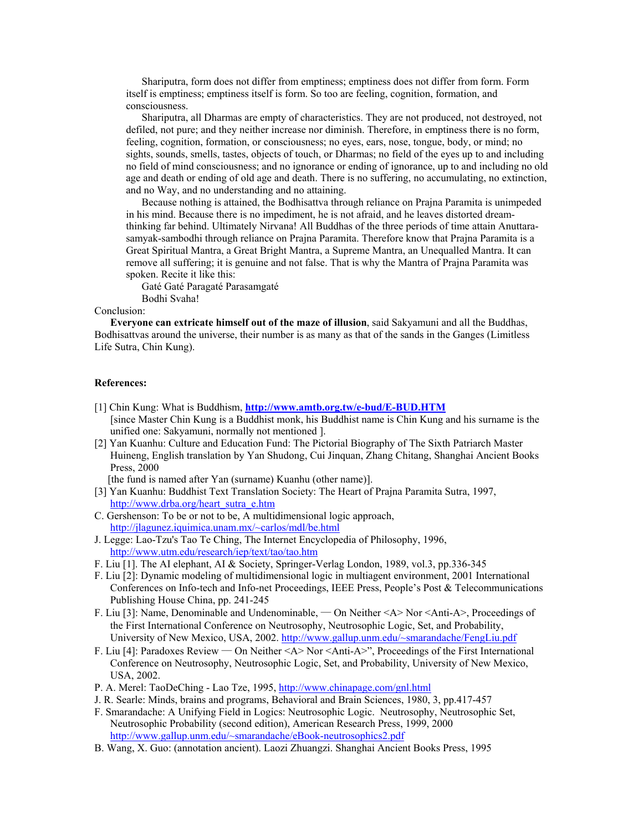Shariputra, form does not differ from emptiness; emptiness does not differ from form. Form itself is emptiness; emptiness itself is form. So too are feeling, cognition, formation, and consciousness.

Shariputra, all Dharmas are empty of characteristics. They are not produced, not destroyed, not defiled, not pure; and they neither increase nor diminish. Therefore, in emptiness there is no form, feeling, cognition, formation, or consciousness; no eyes, ears, nose, tongue, body, or mind; no sights, sounds, smells, tastes, objects of touch, or Dharmas; no field of the eyes up to and including no field of mind consciousness; and no ignorance or ending of ignorance, up to and including no old age and death or ending of old age and death. There is no suffering, no accumulating, no extinction, and no Way, and no understanding and no attaining.

Because nothing is attained, the Bodhisattva through reliance on Prajna Paramita is unimpeded in his mind. Because there is no impediment, he is not afraid, and he leaves distorted dreamthinking far behind. Ultimately Nirvana! All Buddhas of the three periods of time attain Anuttarasamyak-sambodhi through reliance on Prajna Paramita. Therefore know that Prajna Paramita is a Great Spiritual Mantra, a Great Bright Mantra, a Supreme Mantra, an Unequalled Mantra. It can remove all suffering; it is genuine and not false. That is why the Mantra of Prajna Paramita was spoken. Recite it like this:

Gaté Gaté Paragaté Parasamgaté Bodhi Svaha!

### Conclusion:

**Everyone can extricate himself out of the maze of illusion**, said Sakyamuni and all the Buddhas, Bodhisattvas around the universe, their number is as many as that of the sands in the Ganges (Limitless Life Sutra, Chin Kung).

### **References:**

- [1] Chin Kung: What is Buddhism, **http://www.amtb.org.tw/e-bud/E-BUD.HTM** [since Master Chin Kung is a Buddhist monk, his Buddhist name is Chin Kung and his surname is the unified one: Sakyamuni, normally not mentioned ].
- [2] Yan Kuanhu: Culture and Education Fund: The Pictorial Biography of The Sixth Patriarch Master Huineng, English translation by Yan Shudong, Cui Jinquan, Zhang Chitang, Shanghai Ancient Books Press, 2000

[the fund is named after Yan (surname) Kuanhu (other name)].

- [3] Yan Kuanhu: Buddhist Text Translation Society: The Heart of Prajna Paramita Sutra, 1997, http://www.drba.org/heart\_sutra\_e.htm
- C. Gershenson: To be or not to be, A multidimensional logic approach, http://jlagunez.iquimica.unam.mx/~carlos/mdl/be.html
- J. Legge: Lao-Tzu's Tao Te Ching, The Internet Encyclopedia of Philosophy, 1996, http://www.utm.edu/research/iep/text/tao/tao.htm
- F. Liu [1]. The AI elephant, AI & Society, Springer-Verlag London, 1989, vol.3, pp.336-345
- F. Liu [2]: Dynamic modeling of multidimensional logic in multiagent environment, 2001 International Conferences on Info-tech and Info-net Proceedings, IEEE Press, People's Post & Telecommunications Publishing House China, pp. 241-245
- F. Liu [3]: Name, Denominable and Undenominable, On Neither <A> Nor <Anti-A>, Proceedings of the First International Conference on Neutrosophy, Neutrosophic Logic, Set, and Probability, University of New Mexico, USA, 2002. http://www.gallup.unm.edu/~smarandache/FengLiu.pdf
- F. Liu [4]: Paradoxes Review On Neither <A> Nor <Anti-A>", Proceedings of the First International Conference on Neutrosophy, Neutrosophic Logic, Set, and Probability, University of New Mexico, USA, 2002.
- P. A. Merel: TaoDeChing Lao Tze, 1995, http://www.chinapage.com/gnl.html
- J. R. Searle: Minds, brains and programs, Behavioral and Brain Sciences, 1980, 3, pp.417-457
- F. Smarandache: A Unifying Field in Logics: Neutrosophic Logic. Neutrosophy, Neutrosophic Set, Neutrosophic Probability (second edition), American Research Press, 1999, 2000 http://www.gallup.unm.edu/~smarandache/eBook-neutrosophics2.pdf
- B. Wang, X. Guo: (annotation ancient). Laozi Zhuangzi. Shanghai Ancient Books Press, 1995